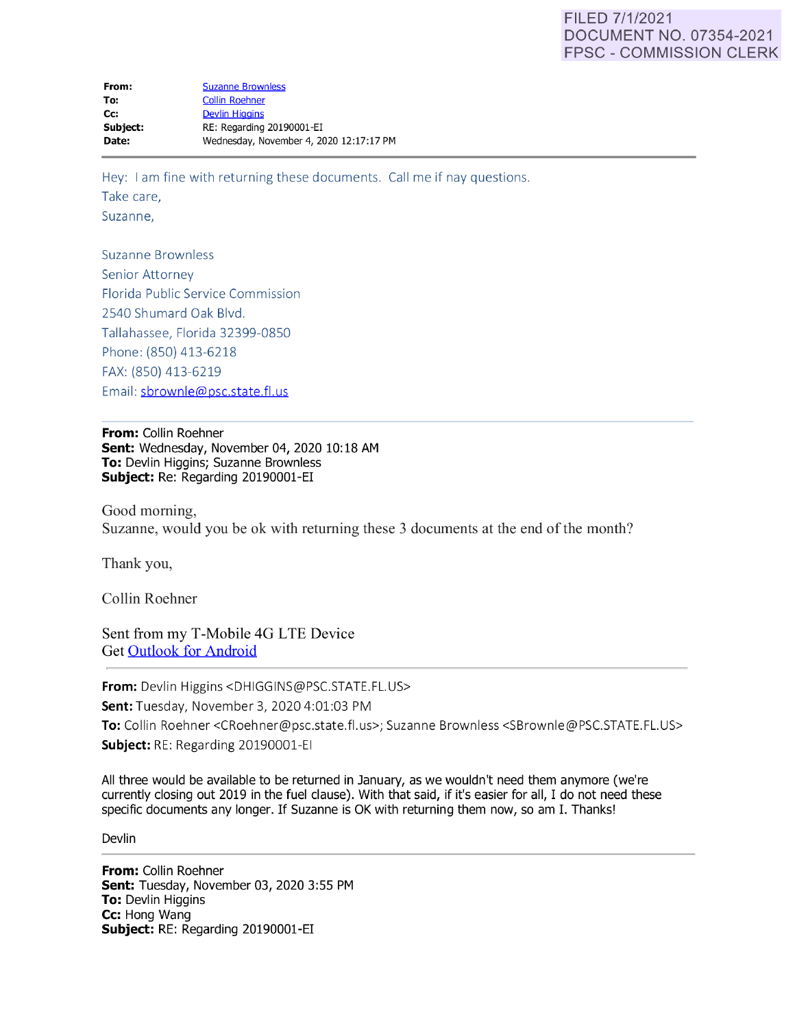# FILED 7/1/2021 DOCUMENT NO. 07354-2021 FPSC - COMMISSION CLERK

Hey: I am fine with returning these documents. Call me if nay questions. Take care, Suzanne,

Suzanne Brownless Senior Attorney Florida Public Service Commission 2540 Shumard Oak Blvd. Tallahassee, Florida 32399-0850 Phone: (850) 413-6218 FAX: (850) 413-6219 Email: sbrownle@psc.state.fl.us

**From:** Collin Roehner **Sent:** Wednesday, November 04, 2020 10: 18 AM **To:** Devlin Higgins; Suzanne Brownless **Subject:** Re: Regarding 20190001-EI

Good morning, Suzanne, would you be ok with returning these 3 documents at the end of the month?

Thank you,

Collin Roehner

Sent from my T-Mobile 4G LTE Device Get [Outlook for Android](https://aka.ms/ghei36)

**From:** Devlin Higgins <DHIGGINS@PSC.STATE.FL.US>

**Sent:** Tuesday, November 3, 2020 4:01:03 PM

To: Collin Roehner <CRoehner@psc.state.fl.us>; Suzanne Brownless <SBrownle@PSC.STATE.FL.US> **Subject:** RE: Regarding 20190001-EI

All three would be available to be returned in January, as we wouldn't need them anymore (we're currently closing out 2019 in the fuel clause). With that said, if it's easier for all, I do not need these specific documents any longer. If Suzanne is OK with returning them now, so am I. Thanks!

**Devlin** 

**From:** Collin Roehner **Sent:** Tuesday, November 03, 2020 3:55 PM **To:** Devlin Higgins **Cc:** Hong Wang **Subject:** RE: Regarding 20190001-EI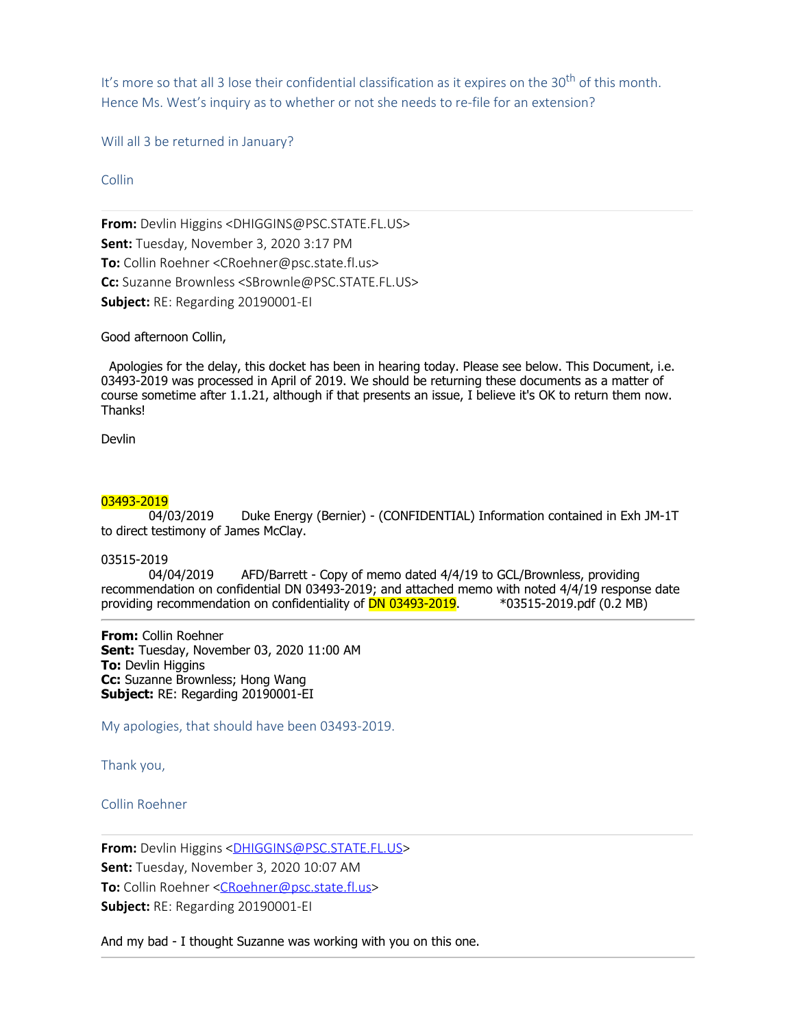It's more so that all 3 lose their confidential classification as it expires on the  $30<sup>th</sup>$  of this month. Hence Ms. West's inquiry as to whether or not she needs to re-file for an extension?

Will all 3 be returned in January?

Collin

**From:** Devlin Higgins <DHIGGINS@PSC.STATE.FL.US> **Sent:** Tuesday, November 3, 2020 3:17 PM **To:** Collin Roehner <CRoehner@psc.state.fl.us> **Cc:** Suzanne Brownless <SBrownle@PSC.STATE.FL.US> **Subject:** RE: Regarding 20190001-EI

Good afternoon Collin,

 Apologies for the delay, this docket has been in hearing today. Please see below. This Document, i.e. 03493-2019 was processed in April of 2019. We should be returning these documents as a matter of course sometime after 1.1.21, although if that presents an issue, I believe it's OK to return them now. Thanks!

Devlin

03493-2019<br>04/03/2019 Duke Energy (Bernier) - (CONFIDENTIAL) Information contained in Exh JM-1T to direct testimony of James McClay.

### 03515-2019

 04/04/2019 AFD/Barrett - Copy of memo dated 4/4/19 to GCL/Brownless, providing recommendation on confidential DN 03493-2019; and attached memo with noted 4/4/19 response date<br>providing recommendation on confidentiality of **DN 03493-2019**. \* 03515-2019.pdf (0.2 MB) providing recommendation on confidentiality of DN 03493-2019.

**From:** Collin Roehner **Sent:** Tuesday, November 03, 2020 11:00 AM **To:** Devlin Higgins **Cc:** Suzanne Brownless; Hong Wang **Subject:** RE: Regarding 20190001-EI

My apologies, that should have been 03493-2019.

Thank you,

Collin Roehner

From: Devlin Higgins [<DHIGGINS@PSC.STATE.FL.US](mailto:DHIGGINS@PSC.STATE.FL.US)> **Sent:** Tuesday, November 3, 2020 10:07 AM **To:** Collin Roehner <[CRoehner@psc.state.fl.us](mailto:CRoehner@psc.state.fl.us)> **Subject:** RE: Regarding 20190001-EI

And my bad - I thought Suzanne was working with you on this one.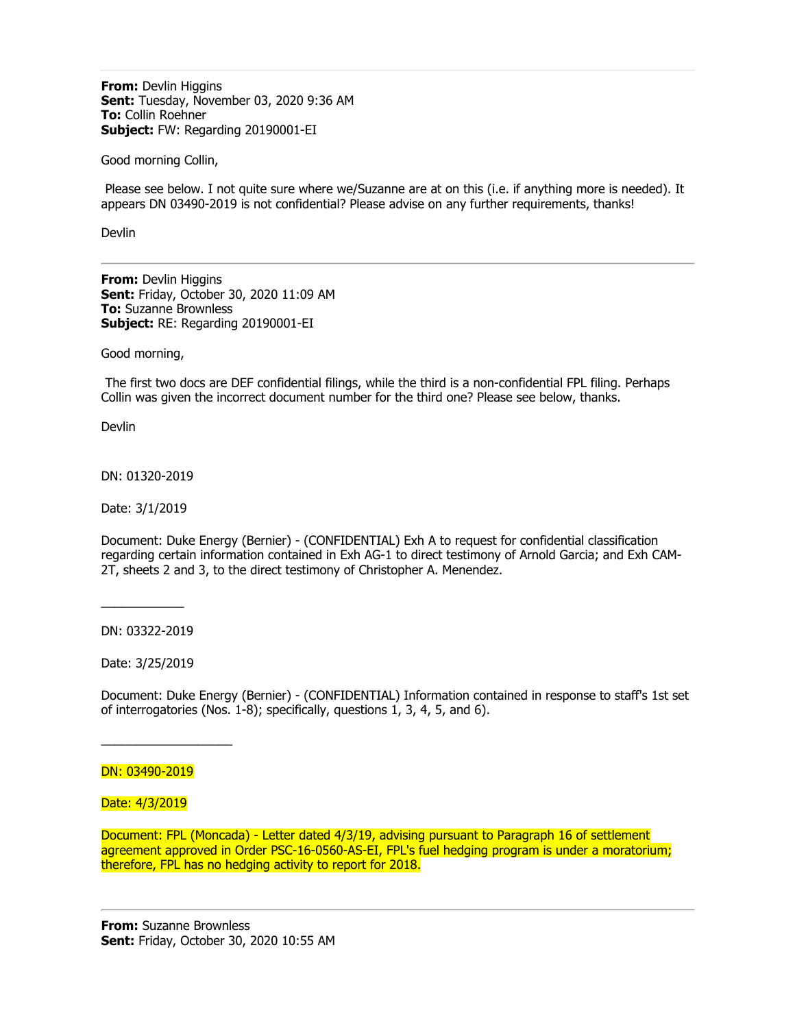**From:** Devlin Higgins **Sent:** Tuesday, November 03, 2020 9:36 AM **To:** Collin Roehner **Subject:** FW: Regarding 20190001-EI

Good morning Collin,

Please see below. I not quite sure where we/Suzanne are at on this (i.e. if anything more is needed). It appears DN 03490-2019 is not confidential? Please advise on any further requirements, thanks!

Devlin

**From:** Devlin Higgins **Sent:** Friday, October 30, 2020 11:09 AM **To:** Suzanne Brownless **Subject:** RE: Regarding 20190001-EI

Good morning,

The first two docs are DEF confidential filings, while the third is a non-confidential FPL filing. Perhaps Collin was given the incorrect document number for the third one? Please see below, thanks.

**Devlin** 

DN: 01320-2019

Date: 3/1/2019

Document: Duke Energy (Bernier) - (CONFIDENTIAL) Exh A to request for confidential classification regarding certain information contained in Exh AG-1 to direct testimony of Arnold Garcia; and Exh CAM-2T, sheets 2 and 3, to the direct testimony of Christopher A. Menendez.

DN: 03322-2019

 $\overline{\phantom{a}}$ 

Date: 3/25/2019

Document: Duke Energy (Bernier) - (CONFIDENTIAL) Information contained in response to staff's 1st set of interrogatories (Nos. 1-8); specifically, questions 1, 3, 4, 5, and 6).

#### DN: 03490-2019

 $\overline{\phantom{a}}$  , where  $\overline{\phantom{a}}$ 

Date: 4/3/2019

Document: FPL (Moncada) - Letter dated 4/3/19, advising pursuant to Paragraph 16 of settlement agreement approved in Order PSC-16-0560-AS-EI, FPL's fuel hedging program is under a moratorium; therefore, FPL has no hedging activity to report for 2018.